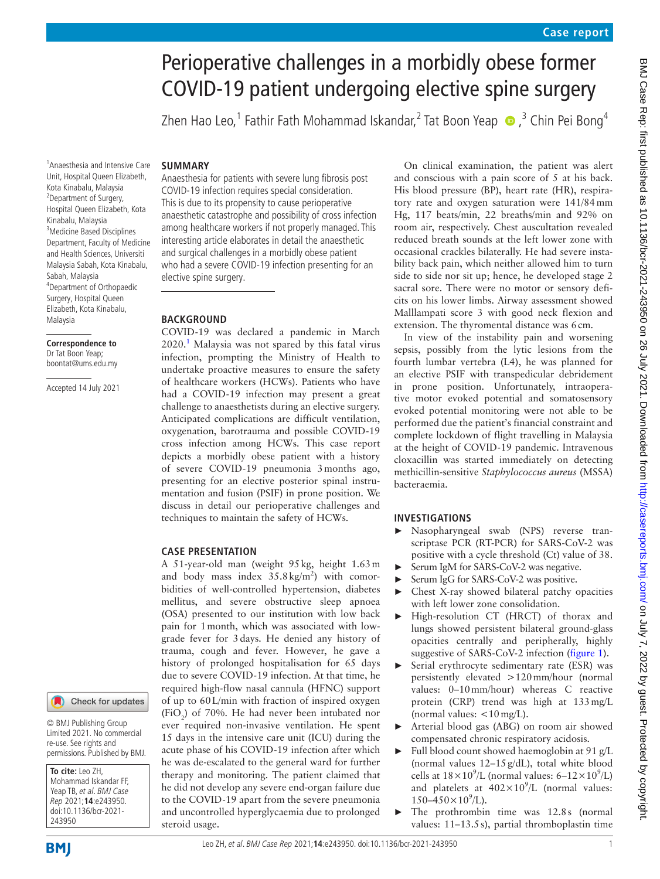# Perioperative challenges in a morbidly obese former COVID-19 patient undergoing elective spine surgery

Zhen Hao Leo,<sup>1</sup> Fathir Fath Mohammad Iskandar,<sup>2</sup> Tat Boon Yeap  $\bullet$  ,<sup>3</sup> Chin Pei Bong<sup>4</sup>

## **SUMMARY**

1 Anaesthesia and Intensive Care Unit, Hospital Queen Elizabeth, Kota Kinabalu, Malaysia <sup>2</sup>Department of Surgery, Hospital Queen Elizabeth, Kota Kinabalu, Malaysia 3 Medicine Based Disciplines Department, Faculty of Medicine and Health Sciences, Universiti Malaysia Sabah, Kota Kinabalu, Sabah, Malaysia 4 Department of Orthopaedic Surgery, Hospital Queen Elizabeth, Kota Kinabalu, Malaysia

#### **Correspondence to** Dr Tat Boon Yeap; boontat@ums.edu.my

Accepted 14 July 2021

Anaesthesia for patients with severe lung fibrosis post COVID-19 infection requires special consideration. This is due to its propensity to cause perioperative anaesthetic catastrophe and possibility of cross infection among healthcare workers if not properly managed. This interesting article elaborates in detail the anaesthetic and surgical challenges in a morbidly obese patient who had a severe COVID-19 infection presenting for an elective spine surgery.

## **BACKGROUND**

COVID-19 was declared a pandemic in March  $2020<sup>1</sup>$  $2020<sup>1</sup>$  $2020<sup>1</sup>$  Malaysia was not spared by this fatal virus infection, prompting the Ministry of Health to undertake proactive measures to ensure the safety of healthcare workers (HCWs). Patients who have had a COVID-19 infection may present a great challenge to anaesthetists during an elective surgery. Anticipated complications are difficult ventilation, oxygenation, barotrauma and possible COVID-19 cross infection among HCWs. This case report depicts a morbidly obese patient with a history of severe COVID-19 pneumonia 3months ago, presenting for an elective posterior spinal instrumentation and fusion (PSIF) in prone position. We discuss in detail our perioperative challenges and techniques to maintain the safety of HCWs.

## **CASE PRESENTATION**

A 51-year-old man (weight 95kg, height 1.63m and body mass index  $35.8 \text{ kg/m}^2$ ) with comorbidities of well-controlled hypertension, diabetes mellitus, and severe obstructive sleep apnoea (OSA) presented to our institution with low back pain for 1month, which was associated with lowgrade fever for 3days. He denied any history of trauma, cough and fever. However, he gave a history of prolonged hospitalisation for 65 days due to severe COVID-19 infection. At that time, he required high-flow nasal cannula (HFNC) support of up to 60L/min with fraction of inspired oxygen  $(FiO<sub>2</sub>)$  of 70%. He had never been intubated nor ever required non-invasive ventilation. He spent 15 days in the intensive care unit (ICU) during the acute phase of his COVID-19 infection after which he was de-escalated to the general ward for further therapy and monitoring. The patient claimed that he did not develop any severe end-organ failure due to the COVID-19 apart from the severe pneumonia and uncontrolled hyperglycaemia due to prolonged steroid usage.

On clinical examination, the patient was alert and conscious with a pain score of 5 at his back. His blood pressure (BP), heart rate (HR), respiratory rate and oxygen saturation were 141/84mm Hg, 117 beats/min, 22 breaths/min and 92% on room air, respectively. Chest auscultation revealed reduced breath sounds at the left lower zone with occasional crackles bilaterally. He had severe instability back pain, which neither allowed him to turn side to side nor sit up; hence, he developed stage 2 sacral sore. There were no motor or sensory deficits on his lower limbs. Airway assessment showed Malllampati score 3 with good neck flexion and extension. The thyromental distance was 6cm.

In view of the instability pain and worsening sepsis, possibly from the lytic lesions from the fourth lumbar vertebra (L4), he was planned for an elective PSIF with transpedicular debridement in prone position. Unfortunately, intraoperative motor evoked potential and somatosensory evoked potential monitoring were not able to be performed due the patient's financial constraint and complete lockdown of flight travelling in Malaysia at the height of COVID-19 pandemic. Intravenous cloxacillin was started immediately on detecting methicillin-sensitive *Staphylococcus aureus* (MSSA) bacteraemia.

# **INVESTIGATIONS**

- ► Nasopharyngeal swab (NPS) reverse transcriptase PCR (RT-PCR) for SARS-CoV-2 was positive with a cycle threshold (Ct) value of 38.
- Serum IgM for SARS-CoV-2 was negative.
- ► Serum IgG for SARS-CoV-2 was positive. ► Chest X-ray showed bilateral patchy opacities
- with left lower zone consolidation. ► High-resolution CT (HRCT) of thorax and lungs showed persistent bilateral ground-glass opacities centrally and peripherally, highly suggestive of SARS-CoV-2 infection ([figure](#page-1-0) 1).
- Serial erythrocyte sedimentary rate (ESR) was persistently elevated >120mm/hour (normal values: 0–10mm/hour) whereas C reactive protein (CRP) trend was high at 133mg/L (normal values:  $\langle 10 \text{ mg/L} \rangle$ .
- Arterial blood gas (ABG) on room air showed compensated chronic respiratory acidosis.
- Full blood count showed haemoglobin at 91 g/L (normal values 12–15g/dL), total white blood cells at  $18 \times 10^9$ /L (normal values: 6– $12 \times 10^9$ /L) and platelets at  $402 \times 10^9$ /L (normal values:  $150 - 450 \times 10^9$ /L).
- The prothrombin time was 12.8s (normal values: 11–13.5s), partial thromboplastin time

243950

**To cite:** Leo ZH, Mohammad Iskandar FF, Yeap TB, et al. BMJ Case Rep 2021;**14**:e243950. doi:10.1136/bcr-2021-

© BMJ Publishing Group Limited 2021. No commercial re-use. See rights and permissions. Published by BMJ.

Check for updates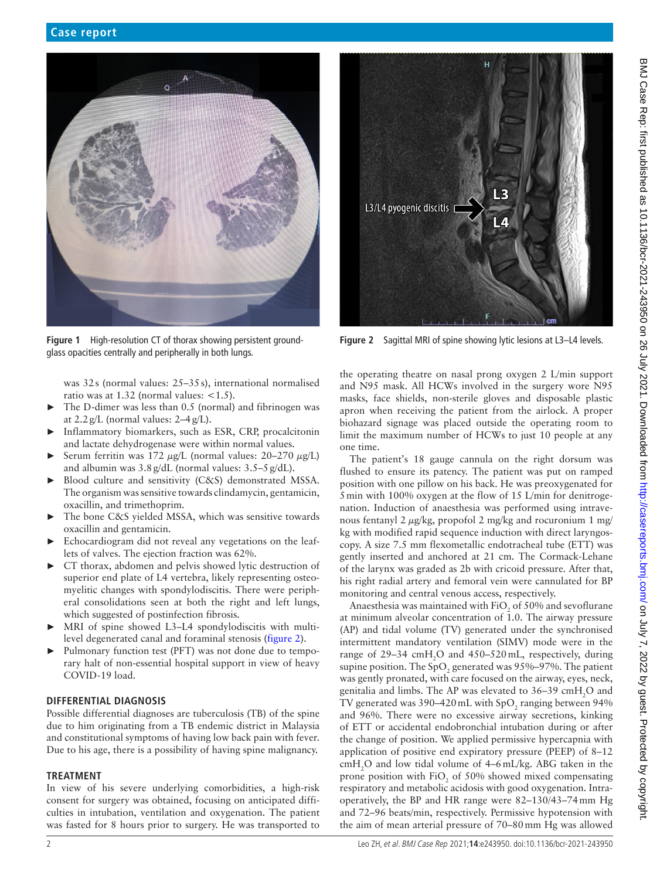

**Figure 1** High-resolution CT of thorax showing persistent groundglass opacities centrally and peripherally in both lungs.

<span id="page-1-0"></span>was 32s (normal values: 25–35s), international normalised ratio was at  $1.32$  (normal values:  $<1.5$ ).

- The D-dimer was less than 0.5 (normal) and fibrinogen was at  $2.2 g/L$  (normal values:  $2-4 g/L$ ).
- Inflammatory biomarkers, such as ESR, CRP, procalcitonin and lactate dehydrogenase were within normal values.
- ► Serum ferritin was 172  $\mu$ g/L (normal values: 20–270  $\mu$ g/L) and albumin was  $3.8$  g/dL (normal values:  $3.5-5$  g/dL).
- ► Blood culture and sensitivity (C&S) demonstrated MSSA. The organism was sensitive towards clindamycin, gentamicin, oxacillin, and trimethoprim.
- ► The bone C&S yielded MSSA, which was sensitive towards oxacillin and gentamicin.
- Echocardiogram did not reveal any vegetations on the leaflets of valves. The ejection fraction was 62%.
- ► CT thorax, abdomen and pelvis showed lytic destruction of superior end plate of L4 vertebra, likely representing osteomyelitic changes with spondylodiscitis. There were peripheral consolidations seen at both the right and left lungs, which suggested of postinfection fibrosis.
- MRI of spine showed L3–L4 spondylodiscitis with multilevel degenerated canal and foraminal stenosis [\(figure](#page-1-1) 2).
- ► Pulmonary function test (PFT) was not done due to temporary halt of non-essential hospital support in view of heavy COVID-19 load.

# **DIFFERENTIAL DIAGNOSIS**

Possible differential diagnoses are tuberculosis (TB) of the spine due to him originating from a TB endemic district in Malaysia and constitutional symptoms of having low back pain with fever. Due to his age, there is a possibility of having spine malignancy.

## **TREATMENT**

In view of his severe underlying comorbidities, a high-risk consent for surgery was obtained, focusing on anticipated difficulties in intubation, ventilation and oxygenation. The patient was fasted for 8 hours prior to surgery. He was transported to



**Figure 2** Sagittal MRI of spine showing lytic lesions at L3–L4 levels.

<span id="page-1-1"></span>the operating theatre on nasal prong oxygen 2 L/min support and N95 mask. All HCWs involved in the surgery wore N95 masks, face shields, non-sterile gloves and disposable plastic apron when receiving the patient from the airlock. A proper biohazard signage was placed outside the operating room to limit the maximum number of HCWs to just 10 people at any one time.

The patient's 18 gauge cannula on the right dorsum was flushed to ensure its patency. The patient was put on ramped position with one pillow on his back. He was preoxygenated for 5min with 100% oxygen at the flow of 15 L/min for denitrogenation. Induction of anaesthesia was performed using intravenous fentanyl 2 μg/kg, propofol 2 mg/kg and rocuronium 1 mg/ kg with modified rapid sequence induction with direct laryngoscopy. A size 7.5 mm flexometallic endotracheal tube (ETT) was gently inserted and anchored at 21 cm. The Cormack-Lehane of the larynx was graded as 2b with cricoid pressure. After that, his right radial artery and femoral vein were cannulated for BP monitoring and central venous access, respectively.

Anaesthesia was maintained with FiO<sub>2</sub> of 50% and sevoflurane at minimum alveolar concentration of 1.0. The airway pressure (AP) and tidal volume (TV) generated under the synchronised intermittent mandatory ventilation (SIMV) mode were in the range of 29-34 cmH<sub>2</sub>O and 450-520 mL, respectively, during supine position. The SpO<sub>2</sub> generated was 95%–97%. The patient was gently pronated, with care focused on the airway, eyes, neck, genitalia and limbs. The AP was elevated to 36–39  $\text{cm}H_{2}$ O and TV generated was 390–420 mL with  $\text{SpO}_2$  ranging between 94% and 96%. There were no excessive airway secretions, kinking of ETT or accidental endobronchial intubation during or after the change of position. We applied permissive hypercapnia with application of positive end expiratory pressure (PEEP) of 8–12  $cmH_2O$  and low tidal volume of 4–6 mL/kg. ABG taken in the prone position with  $FiO_2$  of 50% showed mixed compensating respiratory and metabolic acidosis with good oxygenation. Intraoperatively, the BP and HR range were 82–130/43–74mm Hg and 72–96 beats/min, respectively. Permissive hypotension with the aim of mean arterial pressure of 70–80mm Hg was allowed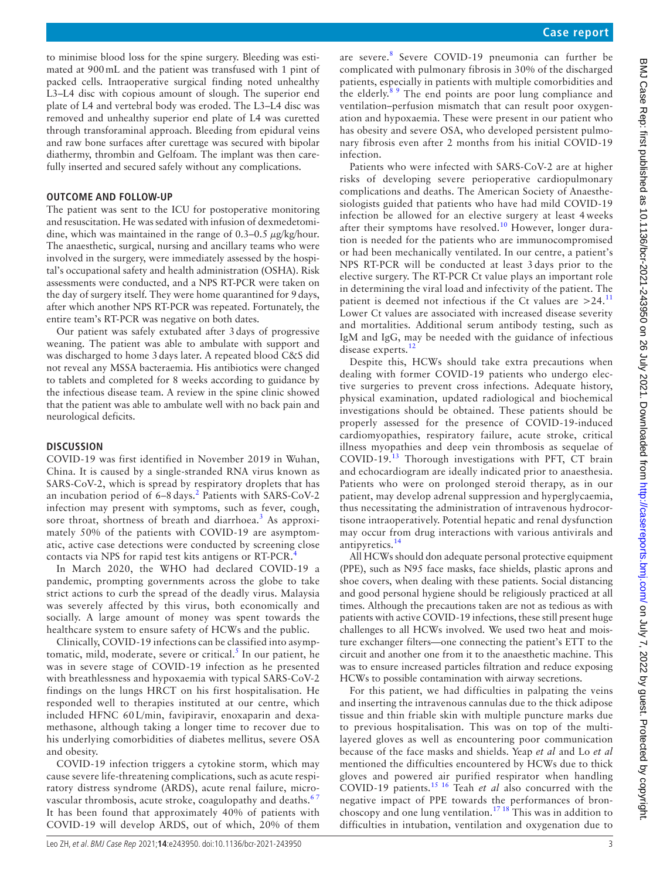to minimise blood loss for the spine surgery. Bleeding was estimated at 900mL and the patient was transfused with 1 pint of packed cells. Intraoperative surgical finding noted unhealthy L3–L4 disc with copious amount of slough. The superior end plate of L4 and vertebral body was eroded. The L3–L4 disc was removed and unhealthy superior end plate of L4 was curetted through transforaminal approach. Bleeding from epidural veins and raw bone surfaces after curettage was secured with bipolar diathermy, thrombin and Gelfoam. The implant was then carefully inserted and secured safely without any complications.

## **OUTCOME AND FOLLOW-UP**

The patient was sent to the ICU for postoperative monitoring and resuscitation. He was sedated with infusion of dexmedetomidine, which was maintained in the range of  $0.3-0.5 \mu$ g/kg/hour. The anaesthetic, surgical, nursing and ancillary teams who were involved in the surgery, were immediately assessed by the hospital's occupational safety and health administration (OSHA). Risk assessments were conducted, and a NPS RT-PCR were taken on the day of surgery itself. They were home quarantined for 9days, after which another NPS RT-PCR was repeated. Fortunately, the entire team's RT-PCR was negative on both dates.

Our patient was safely extubated after 3days of progressive weaning. The patient was able to ambulate with support and was discharged to home 3days later. A repeated blood C&S did not reveal any MSSA bacteraemia. His antibiotics were changed to tablets and completed for 8 weeks according to guidance by the infectious disease team. A review in the spine clinic showed that the patient was able to ambulate well with no back pain and neurological deficits.

## **DISCUSSION**

COVID-19 was first identified in November 2019 in Wuhan, China. It is caused by a single-stranded RNA virus known as SARS-CoV-2, which is spread by respiratory droplets that has an incubation period of  $6-8$  days.<sup>[2](#page-3-1)</sup> Patients with SARS-CoV-2 infection may present with symptoms, such as fever, cough, sore throat, shortness of breath and diarrhoea.<sup>[3](#page-3-2)</sup> As approximately 50% of the patients with COVID-19 are asymptomatic, active case detections were conducted by screening close contacts via NPS for rapid test kits antigens or RT-PCR.<sup>[4](#page-3-3)</sup>

In March 2020, the WHO had declared COVID-19 a pandemic, prompting governments across the globe to take strict actions to curb the spread of the deadly virus. Malaysia was severely affected by this virus, both economically and socially. A large amount of money was spent towards the healthcare system to ensure safety of HCWs and the public.

Clinically, COVID-19 infections can be classified into asymp-tomatic, mild, moderate, severe or critical.<sup>[5](#page-3-4)</sup> In our patient, he was in severe stage of COVID-19 infection as he presented with breathlessness and hypoxaemia with typical SARS-CoV-2 findings on the lungs HRCT on his first hospitalisation. He responded well to therapies instituted at our centre, which included HFNC 60 L/min, favipiravir, enoxaparin and dexamethasone, although taking a longer time to recover due to his underlying comorbidities of diabetes mellitus, severe OSA and obesity.

COVID-19 infection triggers a cytokine storm, which may cause severe life-threatening complications, such as acute respiratory distress syndrome (ARDS), acute renal failure, microvascular thrombosis, acute stroke, coagulopathy and deaths.<sup>67</sup> It has been found that approximately 40% of patients with COVID-19 will develop ARDS, out of which, 20% of them

are severe.<sup>[8](#page-3-6)</sup> Severe COVID-19 pneumonia can further be complicated with pulmonary fibrosis in 30% of the discharged patients, especially in patients with multiple comorbidities and the elderly. $89$  The end points are poor lung compliance and ventilation–perfusion mismatch that can result poor oxygenation and hypoxaemia. These were present in our patient who has obesity and severe OSA, who developed persistent pulmonary fibrosis even after 2 months from his initial COVID-19 infection.

Patients who were infected with SARS-CoV-2 are at higher risks of developing severe perioperative cardiopulmonary complications and deaths. The American Society of Anaesthesiologists guided that patients who have had mild COVID-19 infection be allowed for an elective surgery at least 4 weeks after their symptoms have resolved.<sup>[10](#page-3-7)</sup> However, longer duration is needed for the patients who are immunocompromised or had been mechanically ventilated. In our centre, a patient's NPS RT-PCR will be conducted at least 3 days prior to the elective surgery. The RT-PCR Ct value plays an important role in determining the viral load and infectivity of the patient. The patient is deemed not infectious if the Ct values are  $>24$ .<sup>[11](#page-3-8)</sup> Lower Ct values are associated with increased disease severity and mortalities. Additional serum antibody testing, such as IgM and IgG, may be needed with the guidance of infectious disease experts.<sup>[12](#page-3-9)</sup>

Despite this, HCWs should take extra precautions when dealing with former COVID-19 patients who undergo elective surgeries to prevent cross infections. Adequate history, physical examination, updated radiological and biochemical investigations should be obtained. These patients should be properly assessed for the presence of COVID-19-induced cardiomyopathies, respiratory failure, acute stroke, critical illness myopathies and deep vein thrombosis as sequelae of COVID-19.[13](#page-3-10) Thorough investigations with PFT, CT brain and echocardiogram are ideally indicated prior to anaesthesia. Patients who were on prolonged steroid therapy, as in our patient, may develop adrenal suppression and hyperglycaemia, thus necessitating the administration of intravenous hydrocortisone intraoperatively. Potential hepatic and renal dysfunction may occur from drug interactions with various antivirals and antipyretics.<sup>[14](#page-3-11)</sup>

All HCWs should don adequate personal protective equipment (PPE), such as N95 face masks, face shields, plastic aprons and shoe covers, when dealing with these patients. Social distancing and good personal hygiene should be religiously practiced at all times. Although the precautions taken are not as tedious as with patients with active COVID-19 infections, these still present huge challenges to all HCWs involved. We used two heat and moisture exchanger filters—one connecting the patient's ETT to the circuit and another one from it to the anaesthetic machine. This was to ensure increased particles filtration and reduce exposing HCWs to possible contamination with airway secretions.

For this patient, we had difficulties in palpating the veins and inserting the intravenous cannulas due to the thick adipose tissue and thin friable skin with multiple puncture marks due to previous hospitalisation. This was on top of the multilayered gloves as well as encountering poor communication because of the face masks and shields. Yeap *et al* and Lo *et al* mentioned the difficulties encountered by HCWs due to thick gloves and powered air purified respirator when handling COVID-19 patients.[15 16](#page-4-0) Teah *et al* also concurred with the negative impact of PPE towards the performances of bron-choscopy and one lung ventilation.<sup>[17 18](#page-4-1)</sup> This was in addition to difficulties in intubation, ventilation and oxygenation due to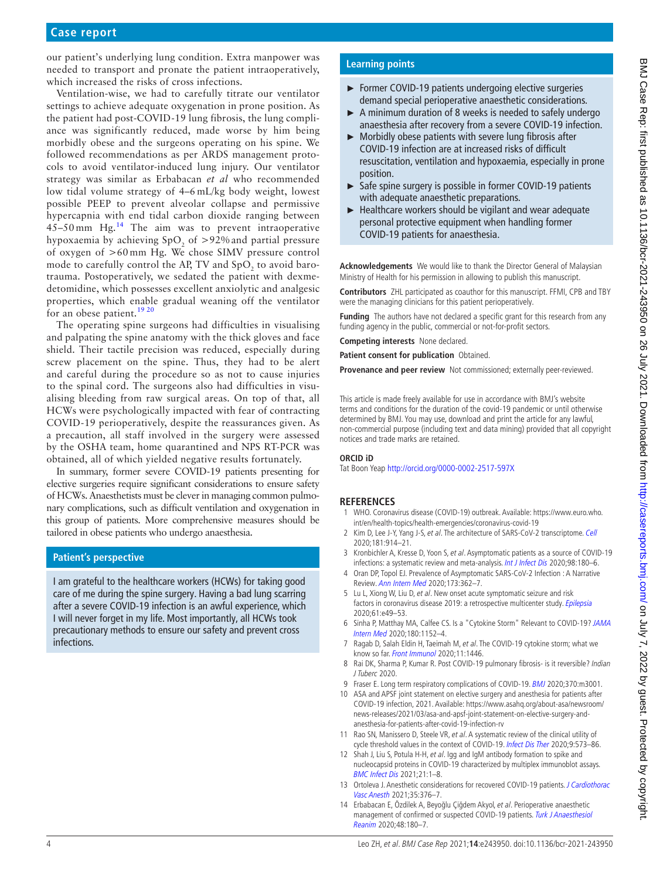our patient's underlying lung condition. Extra manpower was needed to transport and pronate the patient intraoperatively, which increased the risks of cross infections.

Ventilation-wise, we had to carefully titrate our ventilator settings to achieve adequate oxygenation in prone position. As the patient had post-COVID-19 lung fibrosis, the lung compliance was significantly reduced, made worse by him being morbidly obese and the surgeons operating on his spine. We followed recommendations as per ARDS management protocols to avoid ventilator-induced lung injury. Our ventilator strategy was similar as Erbabacan *et al* who recommended low tidal volume strategy of 4–6 mL/kg body weight, lowest possible PEEP to prevent alveolar collapse and permissive hypercapnia with end tidal carbon dioxide ranging between  $45-50$  mm Hg.<sup>14</sup> The aim was to prevent intraoperative hypoxaemia by achieving  $SpO<sub>2</sub>$  of  $>92\%$  and partial pressure of oxygen of >60 mm Hg. We chose SIMV pressure control mode to carefully control the AP, TV and  $\text{SpO}_2$  to avoid barotrauma. Postoperatively, we sedated the patient with dexmedetomidine, which possesses excellent anxiolytic and analgesic properties, which enable gradual weaning off the ventilator for an obese patient.<sup>[19 20](#page-4-2)</sup>

The operating spine surgeons had difficulties in visualising and palpating the spine anatomy with the thick gloves and face shield. Their tactile precision was reduced, especially during screw placement on the spine. Thus, they had to be alert and careful during the procedure so as not to cause injuries to the spinal cord. The surgeons also had difficulties in visualising bleeding from raw surgical areas. On top of that, all HCWs were psychologically impacted with fear of contracting COVID-19 perioperatively, despite the reassurances given. As a precaution, all staff involved in the surgery were assessed by the OSHA team, home quarantined and NPS RT-PCR was obtained, all of which yielded negative results fortunately.

In summary, former severe COVID-19 patients presenting for elective surgeries require significant considerations to ensure safety of HCWs. Anaesthetists must be clever in managing common pulmonary complications, such as difficult ventilation and oxygenation in this group of patients. More comprehensive measures should be tailored in obese patients who undergo anaesthesia.

# **Patient's perspective**

I am grateful to the healthcare workers (HCWs) for taking good care of me during the spine surgery. Having a bad lung scarring after a severe COVID-19 infection is an awful experience, which I will never forget in my life. Most importantly, all HCWs took precautionary methods to ensure our safety and prevent cross infections.

# **Learning points**

- ► Former COVID-19 patients undergoing elective surgeries demand special perioperative anaesthetic considerations.
- ► A minimum duration of 8 weeks is needed to safely undergo anaesthesia after recovery from a severe COVID-19 infection.
- ► Morbidly obese patients with severe lung fibrosis after COVID-19 infection are at increased risks of difficult resuscitation, ventilation and hypoxaemia, especially in prone position.
- ► Safe spine surgery is possible in former COVID-19 patients with adequate anaesthetic preparations.
- ► Healthcare workers should be vigilant and wear adequate personal protective equipment when handling former COVID-19 patients for anaesthesia.

**Acknowledgements** We would like to thank the Director General of Malaysian Ministry of Health for his permission in allowing to publish this manuscript.

**Contributors** ZHL participated as coauthor for this manuscript. FFMI, CPB and TBY were the managing clinicians for this patient perioperatively.

**Funding** The authors have not declared a specific grant for this research from any funding agency in the public, commercial or not-for-profit sectors.

**Competing interests** None declared.

**Patient consent for publication** Obtained.

**Provenance and peer review** Not commissioned; externally peer-reviewed.

This article is made freely available for use in accordance with BMJ's website terms and conditions for the duration of the covid-19 pandemic or until otherwise determined by BMJ. You may use, download and print the article for any lawful, non-commercial purpose (including text and data mining) provided that all copyright notices and trade marks are retained.

#### **ORCID iD**

Tat Boon Yeap <http://orcid.org/0000-0002-2517-597X>

# **REFERENCES**

- <span id="page-3-0"></span>1 WHO. Coronavirus disease (COVID-19) outbreak. Available: [https://www.euro.who.](https://www.euro.who.%20int/en/health-topics/health-emergencies/coronavirus-covid-19)  [int/en/health-topics/health-emergencies/coronavirus-covid-19](https://www.euro.who.%20int/en/health-topics/health-emergencies/coronavirus-covid-19)
- <span id="page-3-1"></span>2 Kim D, Lee J-Y, Yang J-S, et al. The architecture of SARS-CoV-2 transcriptome. [Cell](http://dx.doi.org/10.1016/j.cell.2020.04.011) 2020;181:914–21.
- <span id="page-3-2"></span>3 Kronbichler A, Kresse D, Yoon S, et al. Asymptomatic patients as a source of COVID-19 infections: a systematic review and meta-analysis. *[Int J Infect Dis](http://dx.doi.org/10.1016/j.ijid.2020.06.052)* 2020:98:180–6.
- <span id="page-3-3"></span>4 Oran DP, Topol EJ. Prevalence of Asymptomatic SARS-CoV-2 Infection : A Narrative Review. [Ann Intern Med](http://dx.doi.org/10.7326/M20-3012) 2020;173:362–7.
- <span id="page-3-4"></span>5 Lu L, Xiong W, Liu D, et al. New onset acute symptomatic seizure and risk factors in coronavirus disease 2019: a retrospective multicenter study. *[Epilepsia](http://dx.doi.org/10.1111/epi.16524)* 2020;61:e49–53.
- <span id="page-3-5"></span>6 Sinha P, Matthay MA, Calfee CS. Is a "Cytokine Storm" Relevant to COVID-19? [JAMA](http://dx.doi.org/10.1001/jamainternmed.2020.3313)  [Intern Med](http://dx.doi.org/10.1001/jamainternmed.2020.3313) 2020;180:1152–4.
- 7 Ragab D, Salah Eldin H, Taeimah M, et al. The COVID-19 cytokine storm; what we know so far. [Front Immunol](http://dx.doi.org/10.3389/fimmu.2020.01446) 2020;11:1446.
- <span id="page-3-6"></span>8 Rai DK, Sharma P, Kumar R. Post COVID-19 pulmonary fibrosis- is it reversible? Indian J Tuberc 2020.
- 9 Fraser E. Long term respiratory complications of COVID-19. [BMJ](http://dx.doi.org/10.1136/bmj.m3001) 2020;370:m3001.
- <span id="page-3-7"></span>10 ASA and APSF joint statement on elective surgery and anesthesia for patients after COVID-19 infection, 2021. Available: [https://www.asahq.org/about-asa/newsroom/](https://www.asahq.org/about-asa/newsroom/news-releases/2021/03/asa-and-apsf-joint-statement-on-elective-surgery-and-anesthesia-for-patients-after-covid-19-infection-rv) [news-releases/2021/03/asa-and-apsf-joint-statement-on-elective-surgery-and](https://www.asahq.org/about-asa/newsroom/news-releases/2021/03/asa-and-apsf-joint-statement-on-elective-surgery-and-anesthesia-for-patients-after-covid-19-infection-rv)[anesthesia-for-patients-after-covid-19-infection-rv](https://www.asahq.org/about-asa/newsroom/news-releases/2021/03/asa-and-apsf-joint-statement-on-elective-surgery-and-anesthesia-for-patients-after-covid-19-infection-rv)
- <span id="page-3-8"></span>11 Rao SN, Manissero D, Steele VR, et al. A systematic review of the clinical utility of cycle threshold values in the context of COVID-19. [Infect Dis Ther](http://dx.doi.org/10.1007/s40121-020-00324-3) 2020;9:573-86.
- <span id="page-3-9"></span>12 Shah J, Liu S, Potula H-H, et al. Igg and IgM antibody formation to spike and nucleocapsid proteins in COVID-19 characterized by multiplex immunoblot assays.
- <span id="page-3-10"></span>[BMC Infect Dis](http://dx.doi.org/10.1186/s12879-021-06031-9) 2021;21:1–8. 13 Ortoleva J. Anesthetic considerations for recovered COVID-19 patients. J Cardiothorac [Vasc Anesth](http://dx.doi.org/10.1053/j.jvca.2020.10.032) 2021;35:376–7.
- <span id="page-3-11"></span>14 Erbabacan E, Özdilek A, Beyoğlu Çiğdem Akyol, et al. Perioperative anaesthetic management of confirmed or suspected COVID-19 patients. Turk J Anaesthesiol [Reanim](http://dx.doi.org/10.5152/TJAR.2020.654) 2020;48:180–7.